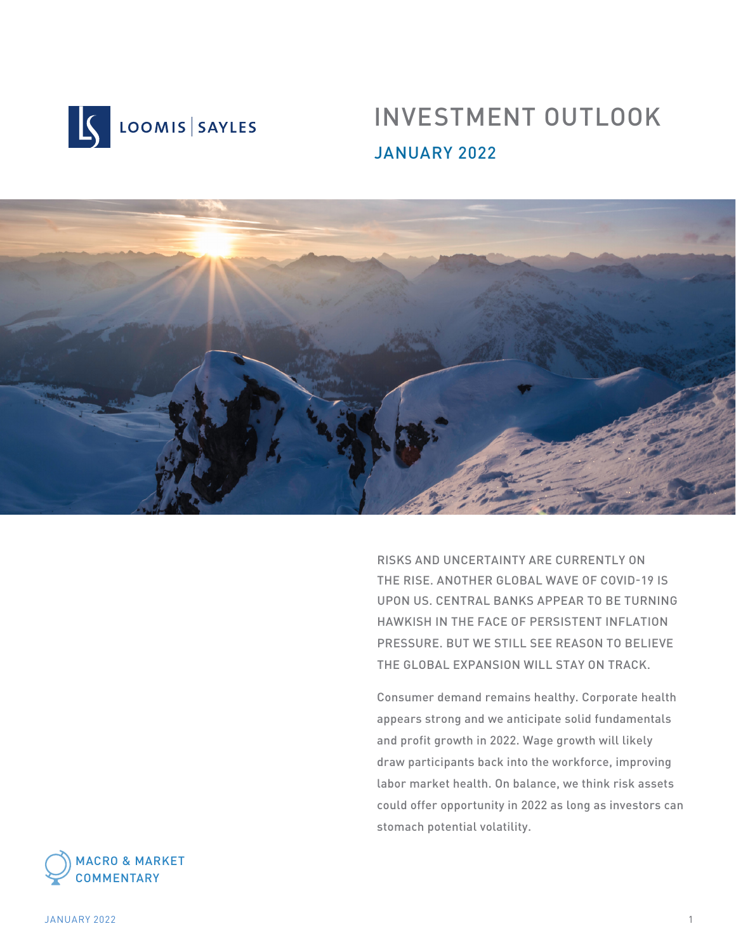

# INVESTMENT OUTLOOK JANUARY 2022



RISKS AND UNCERTAINTY ARE CURRENTLY ON THE RISE. ANOTHER GLOBAL WAVE OF COVID-19 IS UPON US. CENTRAL BANKS APPEAR TO BE TURNING HAWKISH IN THE FACE OF PERSISTENT INFLATION PRESSURE. BUT WE STILL SEE REASON TO BELIEVE THE GLOBAL EXPANSION WILL STAY ON TRACK.

Consumer demand remains healthy. Corporate health appears strong and we anticipate solid fundamentals and profit growth in 2022. Wage growth will likely draw participants back into the workforce, improving labor market health. On balance, we think risk assets could offer opportunity in 2022 as long as investors can stomach potential volatility.



JANUARY 2022 1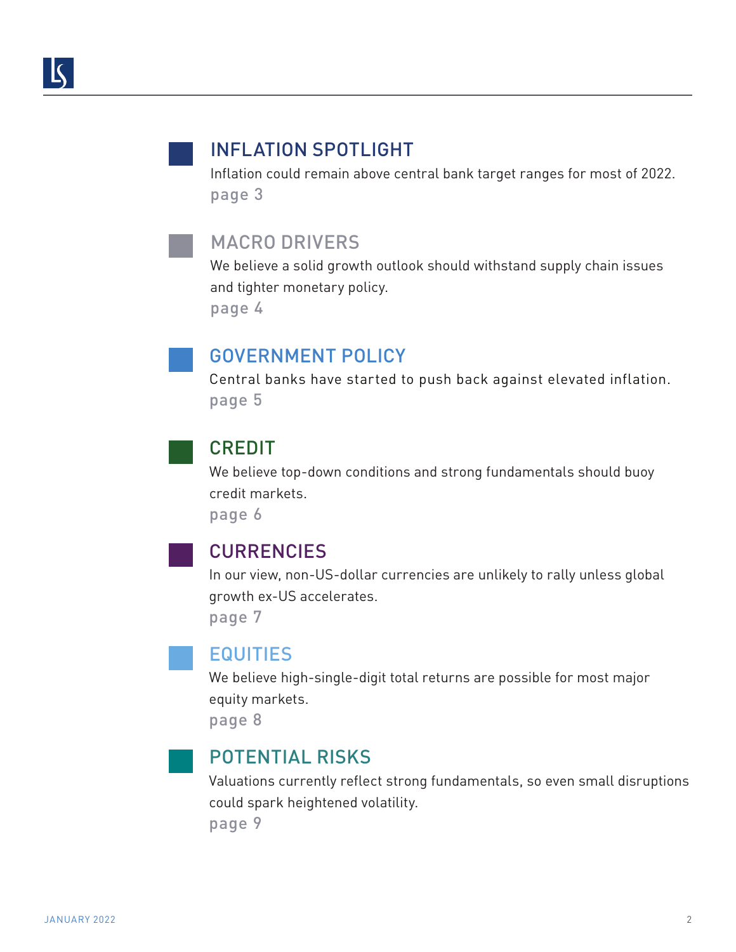### INFLATION SPOTLIGHT

Inflation could remain above central bank target ranges for most of 2022. page 3

### MACRO DRIVERS

We believe a solid growth outlook should withstand supply chain issues and tighter monetary policy.

page 4

### GOVERNMENT POLICY

Central banks have started to push back against elevated inflation. page 5

### CREDIT

We believe top-down conditions and strong fundamentals should buoy credit markets.

page 6

### **CURRENCIES**

In our view, non-US-dollar currencies are unlikely to rally unless global growth ex-US accelerates.

page 7

### EQUITIES

We believe high-single-digit total returns are possible for most major equity markets.

page 8

### POTENTIAL RISKS

Valuations currently reflect strong fundamentals, so even small disruptions could spark heightened volatility. page 9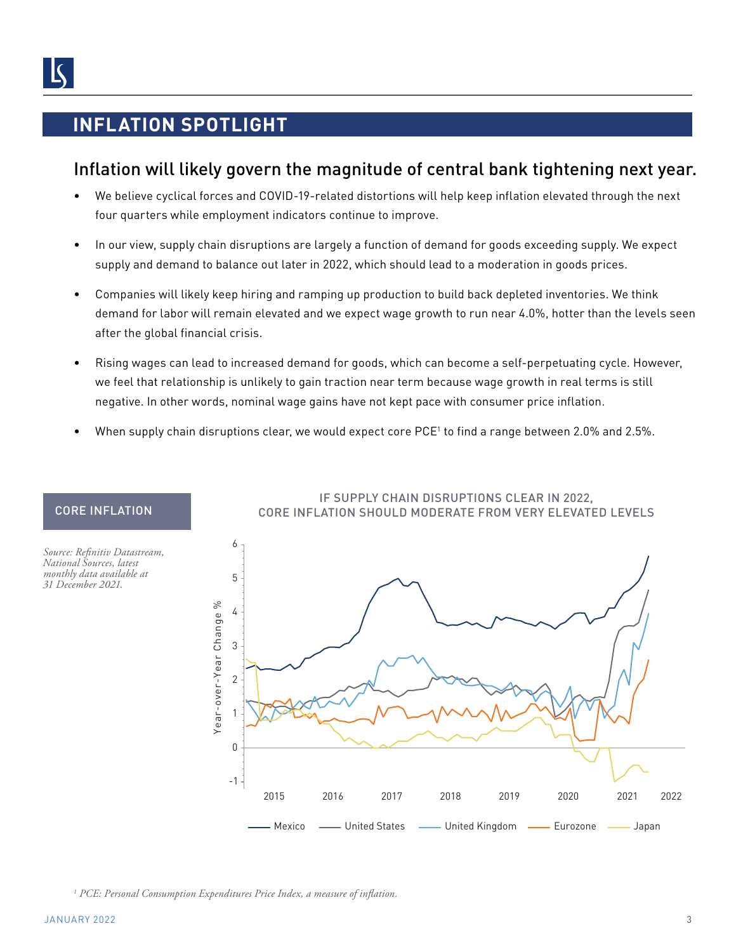## **INFLATION SPOTLIGHT**

### Inflation will likely govern the magnitude of central bank tightening next year.

- We believe cyclical forces and COVID-19-related distortions will help keep inflation elevated through the next four quarters while employment indicators continue to improve.
- In our view, supply chain disruptions are largely a function of demand for goods exceeding supply. We expect supply and demand to balance out later in 2022, which should lead to a moderation in goods prices.
- Companies will likely keep hiring and ramping up production to build back depleted inventories. We think demand for labor will remain elevated and we expect wage growth to run near 4.0%, hotter than the levels seen after the global financial crisis.
- Rising wages can lead to increased demand for goods, which can become a self-perpetuating cycle. However, we feel that relationship is unlikely to gain traction near term because wage growth in real terms is still negative. In other words, nominal wage gains have not kept pace with consumer price inflation.
- When supply chain disruptions clear, we would expect core PCE<sup>1</sup> to find a range between 2.0% and 2.5%.



#### IF SUPPLY CHAIN DISRUPTIONS CLEAR IN 2022, CORE INFLATION SHOULD MODERATE FROM VERY ELEVATED LEVELS

*1 PCE: Personal Consumption Expenditures Price Index, a measure of inflation.*

CORE INFLATION

*Source: Refinitiv Datastream, National Sources, latest monthly data available at 31 December 2021.*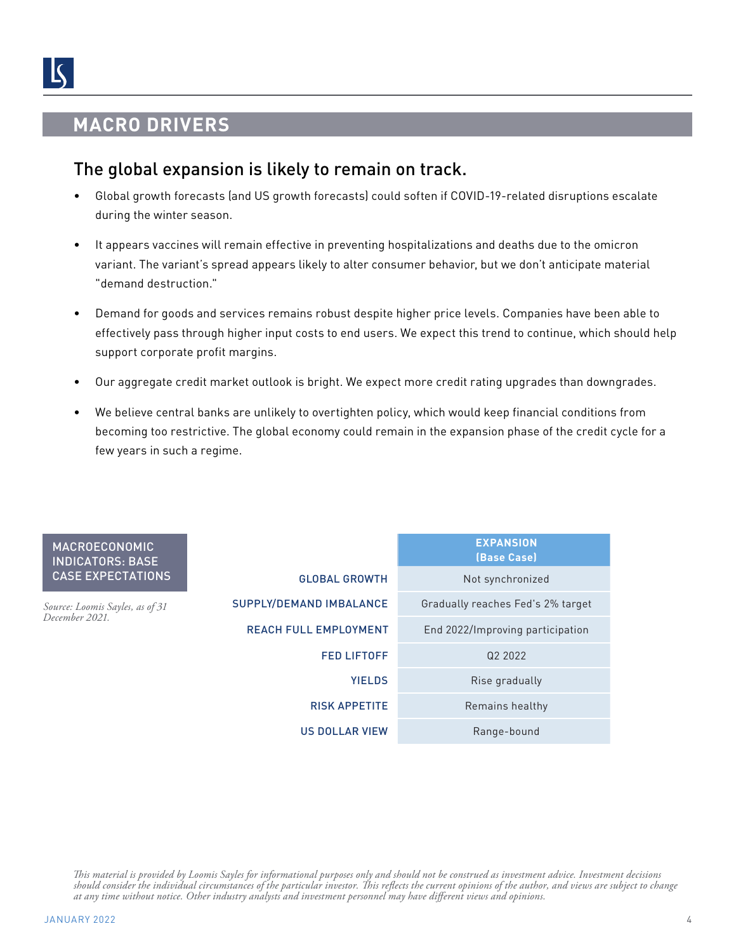### **MACRO DRIVERS**

### The global expansion is likely to remain on track.

- Global growth forecasts (and US growth forecasts) could soften if COVID-19-related disruptions escalate during the winter season.
- It appears vaccines will remain effective in preventing hospitalizations and deaths due to the omicron variant. The variant's spread appears likely to alter consumer behavior, but we don't anticipate material "demand destruction."
- Demand for goods and services remains robust despite higher price levels. Companies have been able to effectively pass through higher input costs to end users. We expect this trend to continue, which should help support corporate profit margins.
- Our aggregate credit market outlook is bright. We expect more credit rating upgrades than downgrades.
- We believe central banks are unlikely to overtighten policy, which would keep financial conditions from becoming too restrictive. The global economy could remain in the expansion phase of the credit cycle for a few years in such a regime.

| <b>MACROECONOMIC</b><br><b>INDICATORS: BASE</b>   |                                | <b>EXPANSION</b><br>(Base Case)   |
|---------------------------------------------------|--------------------------------|-----------------------------------|
| <b>CASE EXPECTATIONS</b>                          | <b>GLOBAL GROWTH</b>           | Not synchronized                  |
| Source: Loomis Sayles, as of 31<br>December 2021. | <b>SUPPLY/DEMAND IMBALANCE</b> | Gradually reaches Fed's 2% target |
|                                                   | <b>REACH FULL EMPLOYMENT</b>   | End 2022/Improving participation  |
|                                                   | <b>FED LIFTOFF</b>             | Q2 2022                           |
|                                                   | <b>YIELDS</b>                  | Rise gradually                    |
|                                                   | <b>RISK APPETITE</b>           | Remains healthy                   |
|                                                   | <b>US DOLLAR VIEW</b>          | Range-bound                       |

*This material is provided by Loomis Sayles for informational purposes only and should not be construed as investment advice. Investment decisions should consider the individual circumstances of the particular investor. This reflects the current opinions of the author, and views are subject to change at any time without notice. Other industry analysts and investment personnel may have different views and opinions.*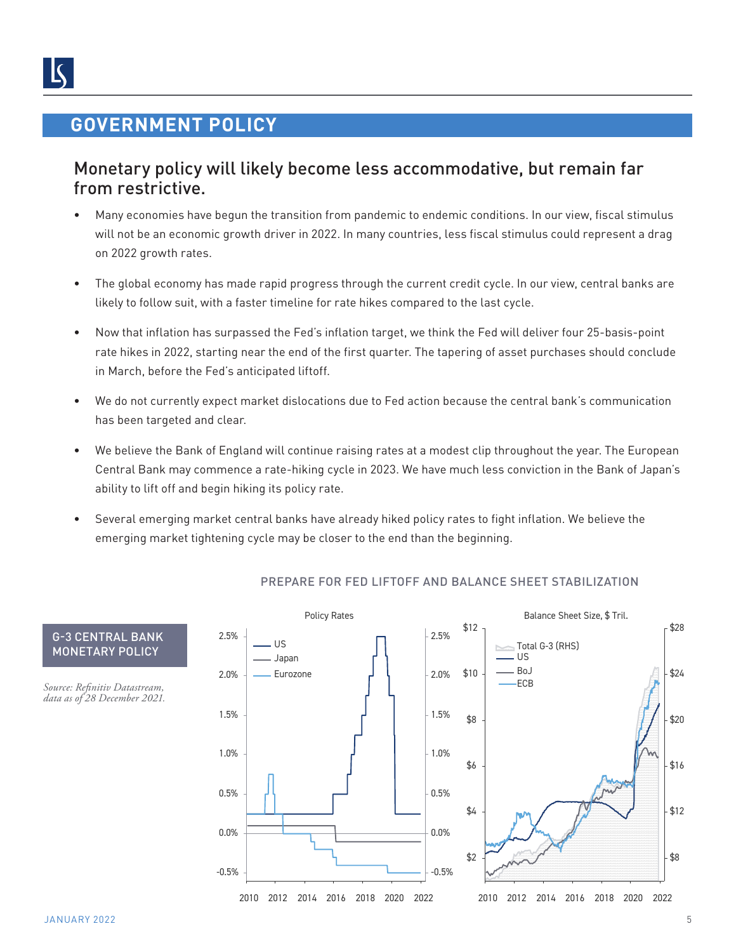### **GOVERNMENT POLICY**

### Monetary policy will likely become less accommodative, but remain far from restrictive.

- Many economies have begun the transition from pandemic to endemic conditions. In our view, fiscal stimulus will not be an economic growth driver in 2022. In many countries, less fiscal stimulus could represent a drag on 2022 growth rates.
- The global economy has made rapid progress through the current credit cycle. In our view, central banks are likely to follow suit, with a faster timeline for rate hikes compared to the last cycle.
- Now that inflation has surpassed the Fed's inflation target, we think the Fed will deliver four 25-basis-point rate hikes in 2022, starting near the end of the first quarter. The tapering of asset purchases should conclude in March, before the Fed's anticipated liftoff.
- We do not currently expect market dislocations due to Fed action because the central bank's communication has been targeted and clear.
- We believe the Bank of England will continue raising rates at a modest clip throughout the year. The European Central Bank may commence a rate-hiking cycle in 2023. We have much less conviction in the Bank of Japan's ability to lift off and begin hiking its policy rate.
- Several emerging market central banks have already hiked policy rates to fight inflation. We believe the emerging market tightening cycle may be closer to the end than the beginning.



#### PREPARE FOR FED LIFTOFF AND BALANCE SHEET STABILIZATION

MONETARY POLICY

G-3 CENTRAL BANK

*Source: Refinitiv Datastream, data as of 28 December 2021.*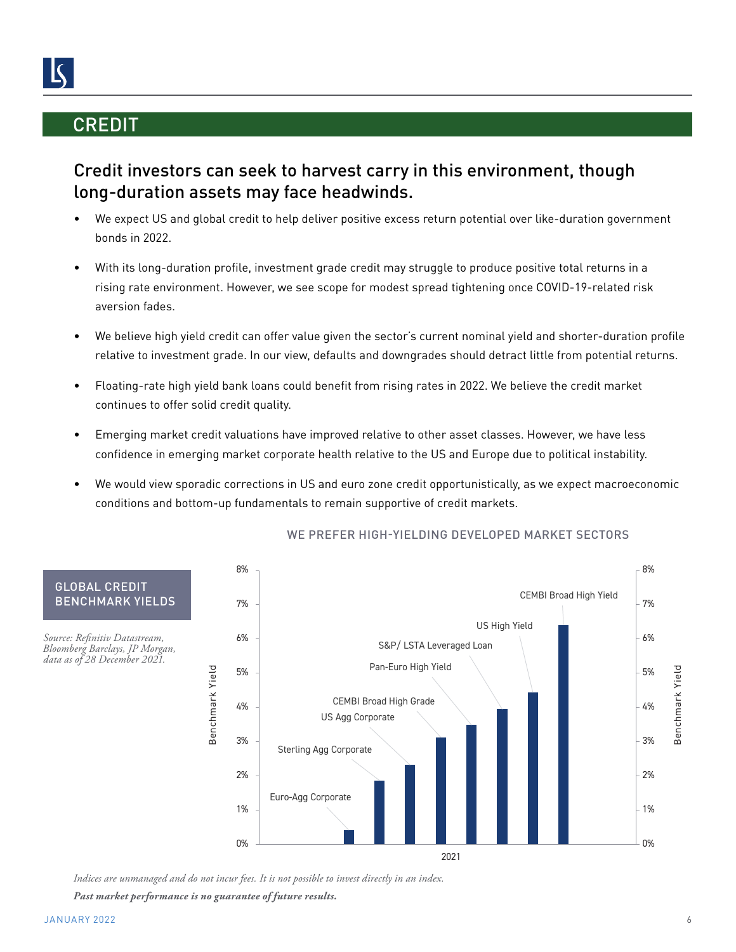### **CREDIT**

### Credit investors can seek to harvest carry in this environment, though long-duration assets may face headwinds.

- We expect US and global credit to help deliver positive excess return potential over like-duration government bonds in 2022.
- With its long-duration profile, investment grade credit may struggle to produce positive total returns in a rising rate environment. However, we see scope for modest spread tightening once COVID-19-related risk aversion fades.
- We believe high yield credit can offer value given the sector's current nominal yield and shorter-duration profile relative to investment grade. In our view, defaults and downgrades should detract little from potential returns.
- Floating-rate high yield bank loans could benefit from rising rates in 2022. We believe the credit market continues to offer solid credit quality.
- Emerging market credit valuations have improved relative to other asset classes. However, we have less confidence in emerging market corporate health relative to the US and Europe due to political instability.
- We would view sporadic corrections in US and euro zone credit opportunistically, as we expect macroeconomic conditions and bottom-up fundamentals to remain supportive of credit markets.



### WE PREFER HIGH-YIELDING DEVELOPED MARKET SECTORS

*Indices are unmanaged and do not incur fees. It is not possible to invest directly in an index.*

*Past market performance is no guarantee of future results.*

GLOBAL CREDIT BENCHMARK YIELDS

*Source: Refinitiv Datastream, Bloomberg Barclays, JP Morgan, data as of 28 December 2021.*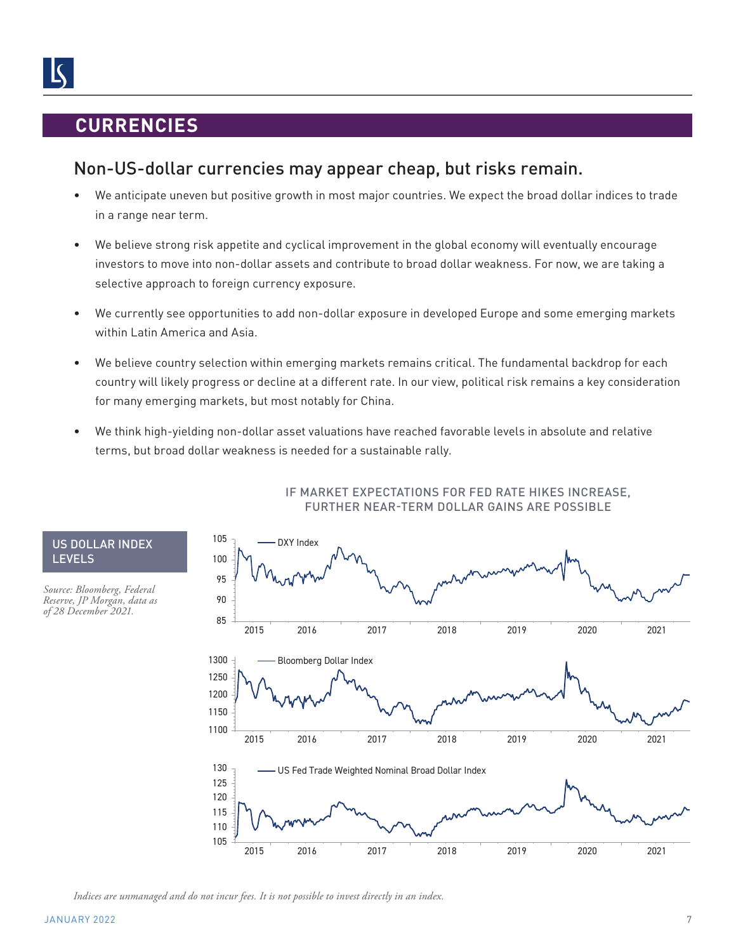### **CURRENCIES**

### Non-US-dollar currencies may appear cheap, but risks remain.

- We anticipate uneven but positive growth in most major countries. We expect the broad dollar indices to trade in a range near term.
- We believe strong risk appetite and cyclical improvement in the global economy will eventually encourage investors to move into non-dollar assets and contribute to broad dollar weakness. For now, we are taking a selective approach to foreign currency exposure.
- We currently see opportunities to add non-dollar exposure in developed Europe and some emerging markets within Latin America and Asia.
- We believe country selection within emerging markets remains critical. The fundamental backdrop for each country will likely progress or decline at a different rate. In our view, political risk remains a key consideration for many emerging markets, but most notably for China.
- We think high-yielding non-dollar asset valuations have reached favorable levels in absolute and relative terms, but broad dollar weakness is needed for a sustainable rally.



#### IF MARKET EXPECTATIONS FOR FED RATE HIKES INCREASE, FURTHER NEAR-TERM DOLLAR GAINS ARE POSSIBLE

*Indices are unmanaged and do not incur fees. It is not possible to invest directly in an index.*

US DOLLAR INDEX

*Source: Bloomberg, Federal Reserve, JP Morgan, data as of 28 December 2021.*

LEVELS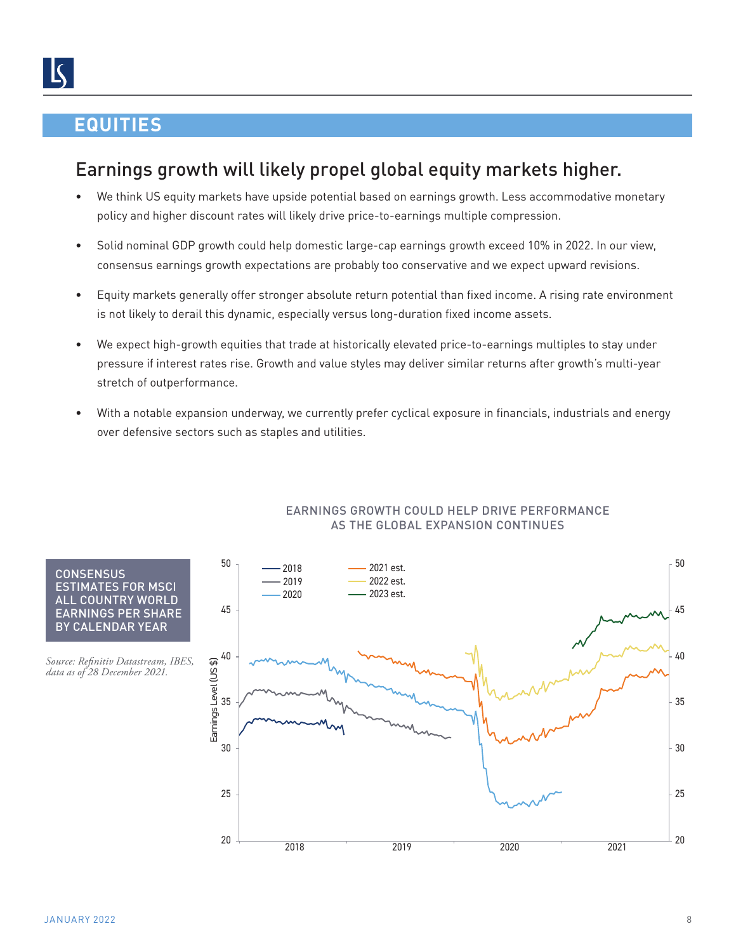### **EQUITIES**

# Earnings growth will likely propel global equity markets higher.

- We think US equity markets have upside potential based on earnings growth. Less accommodative monetary policy and higher discount rates will likely drive price-to-earnings multiple compression.
- Solid nominal GDP growth could help domestic large-cap earnings growth exceed 10% in 2022. In our view, consensus earnings growth expectations are probably too conservative and we expect upward revisions.
- Equity markets generally offer stronger absolute return potential than fixed income. A rising rate environment is not likely to derail this dynamic, especially versus long-duration fixed income assets.
- We expect high-growth equities that trade at historically elevated price-to-earnings multiples to stay under pressure if interest rates rise. Growth and value styles may deliver similar returns after growth's multi-year stretch of outperformance.
- With a notable expansion underway, we currently prefer cyclical exposure in financials, industrials and energy over defensive sectors such as staples and utilities.



#### EARNINGS GROWTH COULD HELP DRIVE PERFORMANCE AS THE GLOBAL EXPANSION CONTINUES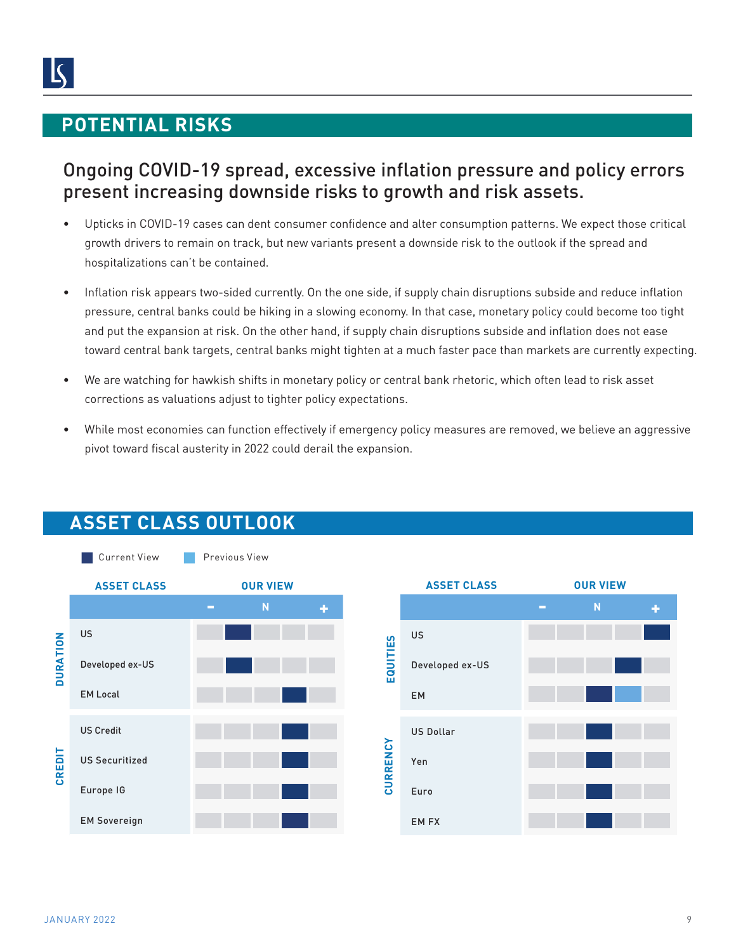### **POTENTIAL RISKS**

## Ongoing COVID-19 spread, excessive inflation pressure and policy errors present increasing downside risks to growth and risk assets.

- Upticks in COVID-19 cases can dent consumer confidence and alter consumption patterns. We expect those critical growth drivers to remain on track, but new variants present a downside risk to the outlook if the spread and hospitalizations can't be contained.
- Inflation risk appears two-sided currently. On the one side, if supply chain disruptions subside and reduce inflation pressure, central banks could be hiking in a slowing economy. In that case, monetary policy could become too tight and put the expansion at risk. On the other hand, if supply chain disruptions subside and inflation does not ease toward central bank targets, central banks might tighten at a much faster pace than markets are currently expecting.
- We are watching for hawkish shifts in monetary policy or central bank rhetoric, which often lead to risk asset corrections as valuations adjust to tighter policy expectations.
- While most economies can function effectively if emergency policy measures are removed, we believe an aggressive pivot toward fiscal austerity in 2022 could derail the expansion.



## **ASSET CLASS OUTLOOK**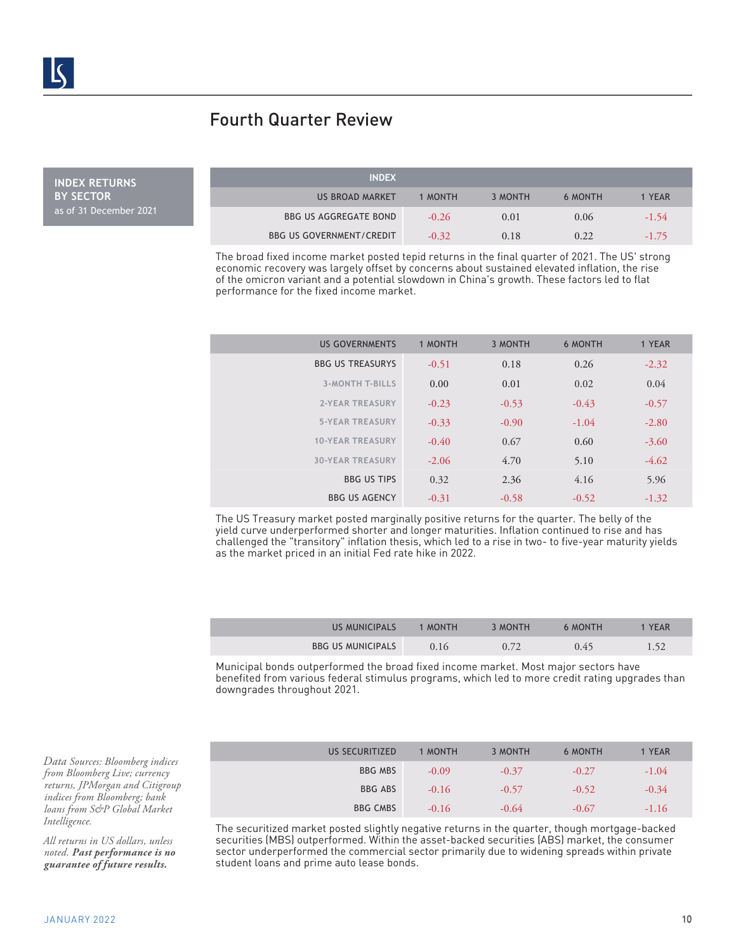### Fourth Quarter Review

**INDEX RETURNS BY SECTOR** as of 31 December 2021

| <b>INDEX</b>                    |         |         |                |         |
|---------------------------------|---------|---------|----------------|---------|
| US BROAD MARKET                 | 1 MONTH | 3 MONTH | <b>6 MONTH</b> | 1 YEAR  |
| <b>BBG US AGGREGATE BOND</b>    | $-0.26$ | 0.01    | 0.06           | $-1.54$ |
| <b>BBG US GOVERNMENT/CREDIT</b> | $-0.32$ | 0.18    | 0.22           | $-1.75$ |

The broad fixed income market posted tepid returns in the final quarter of 2021. The US' strong economic recovery was largely offset by concerns about sustained elevated inflation, the rise of the omicron variant and a potential slowdown in China's growth. These factors led to flat performance for the fixed income market.

| <b>US GOVERNMENTS</b>   | 1 MONTH | 3 MONTH | <b>6 MONTH</b> | 1 YEAR  |
|-------------------------|---------|---------|----------------|---------|
| <b>BBG US TREASURYS</b> | $-0.51$ | 0.18    | 0.26           | $-2.32$ |
| <b>3-MONTH T-BILLS</b>  | 0.00    | 0.01    | 0.02           | 0.04    |
| <b>2-YEAR TREASURY</b>  | $-0.23$ | $-0.53$ | $-0.43$        | $-0.57$ |
| <b>5-YEAR TREASURY</b>  | $-0.33$ | $-0.90$ | $-1.04$        | $-2.80$ |
| <b>10-YEAR TREASURY</b> | $-0.40$ | 0.67    | 0.60           | $-3.60$ |
| <b>30-YEAR TREASURY</b> | $-2.06$ | 4.70    | 5.10           | $-4.62$ |
| <b>BBG US TIPS</b>      | 0.32    | 2.36    | 4.16           | 5.96    |
| <b>BBG US AGENCY</b>    | $-0.31$ | $-0.58$ | $-0.52$        | $-1.32$ |

The US Treasury market posted marginally positive returns for the quarter. The belly of the yield curve underperformed shorter and longer maturities. Inflation continued to rise and has challenged the "transitory" inflation thesis, which led to a rise in two- to five-year maturity yields as the market priced in an initial Fed rate hike in 2022.

| <b>US MUNICIPALS</b>     | 1 MONTH | 3 MONTH | 6 MONTH | YEAR |
|--------------------------|---------|---------|---------|------|
| <b>BBG US MUNICIPALS</b> | 0.16    | 0.72    | 0.45    | 1.52 |

Municipal bonds outperformed the broad fixed income market. Most major sectors have benefited from various federal stimulus programs, which led to more credit rating upgrades than downgrades throughout 2021.

| US SECURITIZED  | 1 MONTH | 3 MONTH | <b>6 MONTH</b> | 1 YEAR  |
|-----------------|---------|---------|----------------|---------|
| <b>BBG MBS</b>  | $-0.09$ | $-0.37$ | $-0.27$        | $-1.04$ |
| <b>BBG ABS</b>  | $-0.16$ | $-0.57$ | $-0.52$        | $-0.34$ |
| <b>BBG CMBS</b> | $-0.16$ | $-0.64$ | $-0.67$        | $-1.16$ |

The securitized market posted slightly negative returns in the quarter, though mortgage-backed securities (MBS) outperformed. Within the asset-backed securities (ABS) market, the consumer sector underperformed the commercial sector primarily due to widening spreads within private student loans and prime auto lease bonds.

*Data Sources: Bloomberg indices from Bloomberg Live; currency returns, JPMorgan and Citigroup indices from Bloomberg; bank loans from S&P Global Market Intelligence.*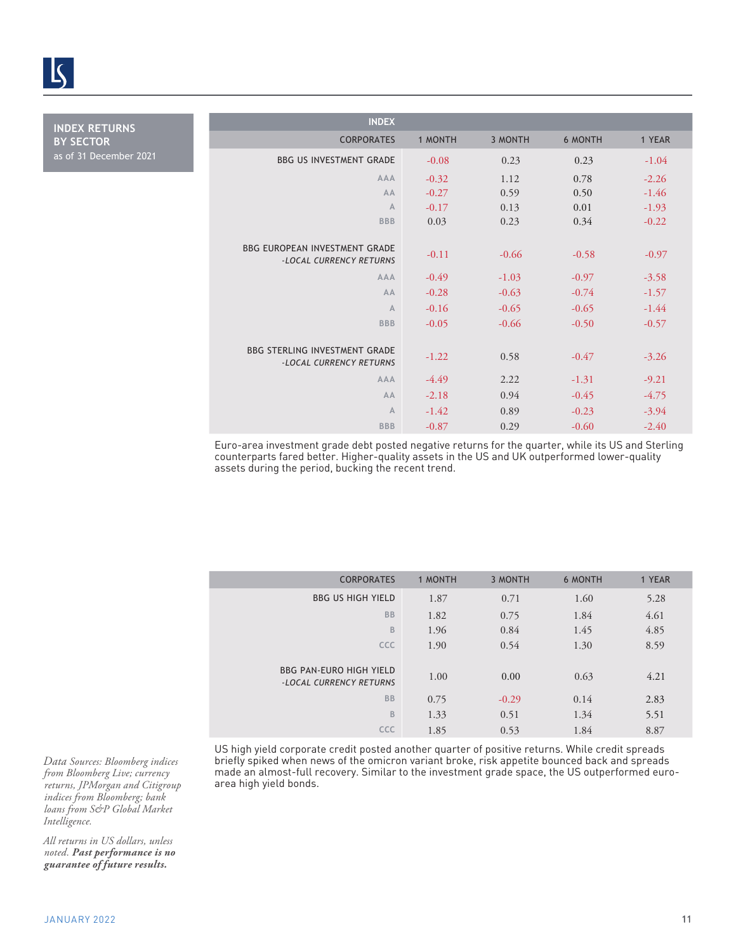

**INDEX RETURNS BY SECTOR** as of 31 December 2021

| <b>INDEX</b>                                                    |         |         |         |         |
|-----------------------------------------------------------------|---------|---------|---------|---------|
| <b>CORPORATES</b>                                               | 1 MONTH | 3 MONTH | 6 MONTH | 1 YEAR  |
| <b>BBG US INVESTMENT GRADE</b>                                  | $-0.08$ | 0.23    | 0.23    | $-1.04$ |
| <b>AAA</b>                                                      | $-0.32$ | 1.12    | 0.78    | $-2.26$ |
| AA                                                              | $-0.27$ | 0.59    | 0.50    | $-1.46$ |
| $\mathbb{A}$                                                    | $-0.17$ | 0.13    | 0.01    | $-1.93$ |
| <b>BBB</b>                                                      | 0.03    | 0.23    | 0.34    | $-0.22$ |
|                                                                 |         |         |         |         |
| <b>BBG FUROPFAN INVESTMENT GRADE</b><br>-LOCAL CURRENCY RETURNS | $-0.11$ | $-0.66$ | $-0.58$ | $-0.97$ |
| <b>AAA</b>                                                      | $-0.49$ | $-1.03$ | $-0.97$ | $-3.58$ |
| AA                                                              | $-0.28$ | $-0.63$ | $-0.74$ | $-1.57$ |
| $\overline{A}$                                                  | $-0.16$ | $-0.65$ | $-0.65$ | $-1.44$ |
| <b>BBB</b>                                                      | $-0.05$ | $-0.66$ | $-0.50$ | $-0.57$ |
|                                                                 |         |         |         |         |
| <b>BBG STERLING INVESTMENT GRADE</b><br>-LOCAL CURRENCY RETURNS | $-1.22$ | 0.58    | $-0.47$ | $-3.26$ |
| AAA                                                             | $-4.49$ | 2.22    | $-1.31$ | $-9.21$ |
| AA                                                              | $-2.18$ | 0.94    | $-0.45$ | $-4.75$ |
| $\overline{A}$                                                  | $-1.42$ | 0.89    | $-0.23$ | $-3.94$ |
| <b>BBB</b>                                                      | $-0.87$ | 0.29    | $-0.60$ | $-2.40$ |

Euro-area investment grade debt posted negative returns for the quarter, while its US and Sterling counterparts fared better. Higher-quality assets in the US and UK outperformed lower-quality assets during the period, bucking the recent trend.

| <b>CORPORATES</b>                                         | 1 MONTH | 3 MONTH | <b>6 MONTH</b> | 1 YEAR |
|-----------------------------------------------------------|---------|---------|----------------|--------|
| <b>BBG US HIGH YIELD</b>                                  | 1.87    | 0.71    | 1.60           | 5.28   |
| <b>BB</b>                                                 | 1.82    | 0.75    | 1.84           | 4.61   |
| B                                                         | 1.96    | 0.84    | 1.45           | 4.85   |
| <b>CCC</b>                                                | 1.90    | 0.54    | 1.30           | 8.59   |
| <b>BBG PAN-EURO HIGH YIELD</b><br>-LOCAL CURRENCY RETURNS | 1.00    | 0.00    | 0.63           | 4.21   |
| <b>BB</b>                                                 | 0.75    | $-0.29$ | 0.14           | 2.83   |
| B                                                         | 1.33    | 0.51    | 1.34           | 5.51   |
| CCC                                                       | 1.85    | 0.53    | 1.84           | 8.87   |

US high yield corporate credit posted another quarter of positive returns. While credit spreads briefly spiked when news of the omicron variant broke, risk appetite bounced back and spreads made an almost-full recovery. Similar to the investment grade space, the US outperformed euroarea high yield bonds.

*Data Sources: Bloomberg indices from Bloomberg Live; currency returns, JPMorgan and Citigroup indices from Bloomberg; bank loans from S&P Global Market Intelligence.*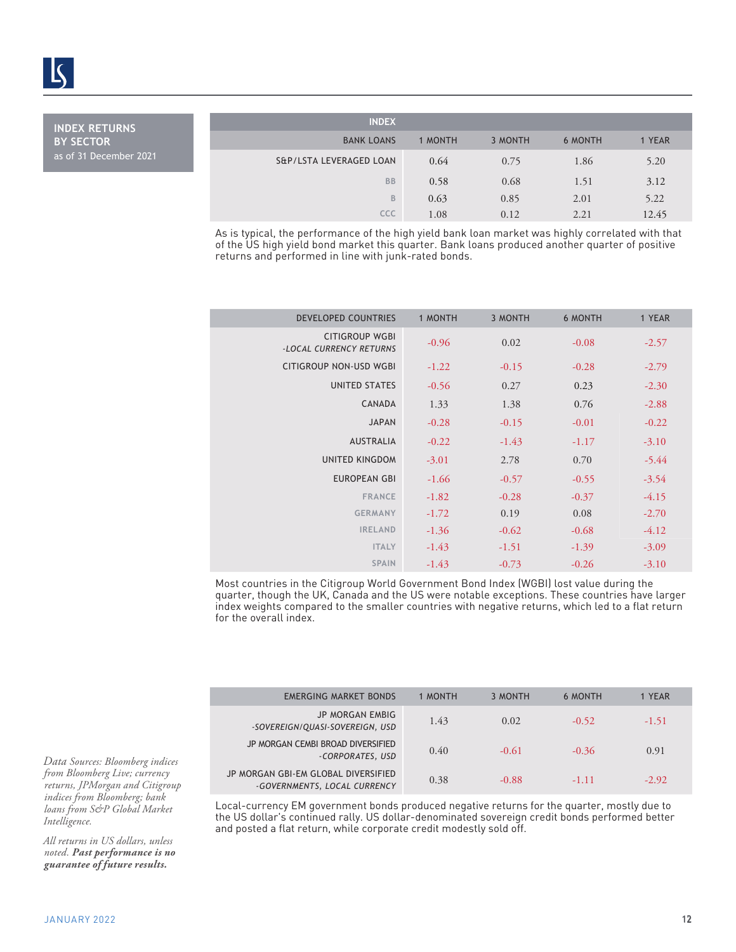**INDEX RETURNS BY SECTOR** as of 31 December 2021

| <b>INDEX</b>            |         |         |                |        |
|-------------------------|---------|---------|----------------|--------|
| <b>BANK LOANS</b>       | 1 MONTH | 3 MONTH | <b>6 MONTH</b> | 1 YEAR |
| S&P/LSTA LEVERAGED LOAN | 0.64    | 0.75    | 1.86           | 5.20   |
| <b>BB</b>               | 0.58    | 0.68    | 1.51           | 3.12   |
| B                       | 0.63    | 0.85    | 2.01           | 5.22   |
| CCC                     | 1.08    | 0.12    | 2.21           | 12.45  |

As is typical, the performance of the high yield bank loan market was highly correlated with that of the US high yield bond market this quarter. Bank loans produced another quarter of positive returns and performed in line with junk-rated bonds.

| <b>DEVELOPED COUNTRIES</b>                       | 1 MONTH | 3 MONTH | <b>6 MONTH</b> | 1 YEAR  |
|--------------------------------------------------|---------|---------|----------------|---------|
| <b>CITIGROUP WGBI</b><br>-LOCAL CURRENCY RETURNS | $-0.96$ | 0.02    | $-0.08$        | $-2.57$ |
| <b>CITIGROUP NON-USD WGBI</b>                    | $-1.22$ | $-0.15$ | $-0.28$        | $-2.79$ |
| <b>UNITED STATES</b>                             | $-0.56$ | 0.27    | 0.23           | $-2.30$ |
| CANADA                                           | 1.33    | 1.38    | 0.76           | $-2.88$ |
| <b>JAPAN</b>                                     | $-0.28$ | $-0.15$ | $-0.01$        | $-0.22$ |
| <b>AUSTRALIA</b>                                 | $-0.22$ | $-1.43$ | $-1.17$        | $-3.10$ |
| <b>UNITED KINGDOM</b>                            | $-3.01$ | 2.78    | 0.70           | $-5.44$ |
| <b>EUROPEAN GBI</b>                              | $-1.66$ | $-0.57$ | $-0.55$        | $-3.54$ |
| <b>FRANCE</b>                                    | $-1.82$ | $-0.28$ | $-0.37$        | $-4.15$ |
| <b>GERMANY</b>                                   | $-1.72$ | 0.19    | 0.08           | $-2.70$ |
| <b>IRELAND</b>                                   | $-1.36$ | $-0.62$ | $-0.68$        | $-4.12$ |
| <b>ITALY</b>                                     | $-1.43$ | $-1.51$ | $-1.39$        | $-3.09$ |
| <b>SPAIN</b>                                     | $-1.43$ | $-0.73$ | $-0.26$        | $-3.10$ |

Most countries in the Citigroup World Government Bond Index (WGBI) lost value during the quarter, though the UK, Canada and the US were notable exceptions. These countries have larger index weights compared to the smaller countries with negative returns, which led to a flat return for the overall index.

| <b>EMERGING MARKET BONDS</b>                                        | 1 MONTH | 3 MONTH | 6 MONTH | 1 YEAR  |
|---------------------------------------------------------------------|---------|---------|---------|---------|
| <b>JP MORGAN EMBIG</b><br>-SOVEREIGN/QUASI-SOVEREIGN, USD           | 1.43    | 0.02    | $-0.52$ | $-1.51$ |
| JP MORGAN CEMBI BROAD DIVERSIFIED<br>-CORPORATES, USD               | 0.40    | $-0.61$ | $-0.36$ | 0.91    |
| JP MORGAN GBI-EM GLOBAL DIVERSIFIED<br>-GOVERNMENTS, LOCAL CURRENCY | 0.38    | $-0.88$ | $-1.11$ | $-2.92$ |

Local-currency EM government bonds produced negative returns for the quarter, mostly due to the US dollar's continued rally. US dollar-denominated sovereign credit bonds performed better and posted a flat return, while corporate credit modestly sold off.

*Data Sources: Bloomberg indices from Bloomberg Live; currency returns, JPMorgan and Citigroup indices from Bloomberg; bank loans from S&P Global Market Intelligence.*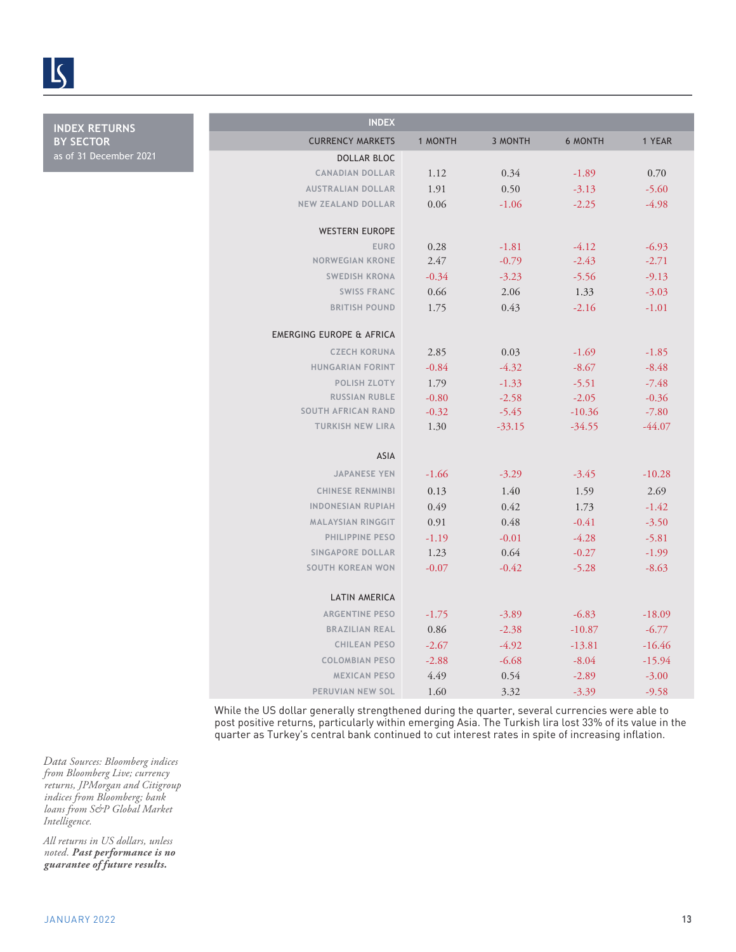

**INDEX RETURNS BY SECTOR** as of 31 December 2021

| <b>INDEX</b>                                         |         |                |                |          |
|------------------------------------------------------|---------|----------------|----------------|----------|
| <b>CURRENCY MARKETS</b>                              | 1 MONTH | <b>3 MONTH</b> | <b>6 MONTH</b> | 1 YEAR   |
| <b>DOLLAR BLOC</b>                                   |         |                |                |          |
| <b>CANADIAN DOLLAR</b>                               | 1.12    | 0.34           | $-1.89$        | 0.70     |
| <b>AUSTRALIAN DOLLAR</b>                             | 1.91    | 0.50           | $-3.13$        | $-5.60$  |
| <b>NEW ZEALAND DOLLAR</b>                            | 0.06    | $-1.06$        | $-2.25$        | $-4.98$  |
|                                                      |         |                |                |          |
| <b>WESTERN EUROPE</b>                                |         |                |                |          |
| <b>EURO</b>                                          | 0.28    | $-1.81$        | $-4.12$        | $-6.93$  |
| <b>NORWEGIAN KRONE</b>                               | 2.47    | $-0.79$        | $-2.43$        | $-2.71$  |
| <b>SWEDISH KRONA</b>                                 | $-0.34$ | $-3.23$        | $-5.56$        | $-9.13$  |
| <b>SWISS FRANC</b>                                   | 0.66    | 2.06           | 1.33           | $-3.03$  |
| <b>BRITISH POUND</b>                                 | 1.75    | 0.43           | $-2.16$        | $-1.01$  |
|                                                      |         |                |                |          |
| <b>EMERGING EUROPE &amp; AFRICA</b>                  |         |                |                |          |
| <b>CZECH KORUNA</b>                                  | 2.85    | 0.03           | $-1.69$        | $-1.85$  |
| <b>HUNGARIAN FORINT</b>                              | $-0.84$ | $-4.32$        | $-8.67$        | $-8.48$  |
| <b>POLISH ZLOTY</b>                                  | 1.79    | $-1.33$        | $-5.51$        | $-7.48$  |
| <b>RUSSIAN RUBLE</b>                                 | $-0.80$ | $-2.58$        | $-2.05$        | $-0.36$  |
| <b>SOUTH AFRICAN RAND</b><br><b>TURKISH NEW LIRA</b> | $-0.32$ | $-5.45$        | $-10.36$       | $-7.80$  |
|                                                      | 1.30    | $-33.15$       | $-34.55$       | $-44.07$ |
| ASIA                                                 |         |                |                |          |
| <b>JAPANESE YEN</b>                                  | $-1.66$ | $-3.29$        | $-3.45$        | $-10.28$ |
|                                                      |         |                |                |          |
| <b>CHINESE RENMINBI</b>                              | 0.13    | 1.40           | 1.59           | 2.69     |
| <b>INDONESIAN RUPIAH</b>                             | 0.49    | 0.42           | 1.73           | $-1.42$  |
| <b>MALAYSIAN RINGGIT</b>                             | 0.91    | 0.48           | $-0.41$        | $-3.50$  |
| PHILIPPINE PESO                                      | $-1.19$ | $-0.01$        | $-4.28$        | $-5.81$  |
| <b>SINGAPORE DOLLAR</b>                              | 1.23    | 0.64           | $-0.27$        | $-1.99$  |
| <b>SOUTH KOREAN WON</b>                              | $-0.07$ | $-0.42$        | $-5.28$        | $-8.63$  |
| LATIN AMERICA                                        |         |                |                |          |
| <b>ARGENTINE PESO</b>                                | $-1.75$ | $-3.89$        | $-6.83$        | $-18.09$ |
| <b>BRAZILIAN REAL</b>                                | 0.86    | $-2.38$        | $-10.87$       | $-6.77$  |
| <b>CHILEAN PESO</b>                                  | $-2.67$ | $-4.92$        | $-13.81$       | $-16.46$ |
| <b>COLOMBIAN PESO</b>                                | $-2.88$ | $-6.68$        | $-8.04$        | $-15.94$ |
| <b>MEXICAN PESO</b>                                  | 4.49    | 0.54           | $-2.89$        | $-3.00$  |
| PERUVIAN NEW SOL                                     | 1.60    | 3.32           | $-3.39$        | $-9.58$  |
|                                                      |         |                |                |          |

While the US dollar generally strengthened during the quarter, several currencies were able to post positive returns, particularly within emerging Asia. The Turkish lira lost 33% of its value in the quarter as Turkey's central bank continued to cut interest rates in spite of increasing inflation.

*Data Sources: Bloomberg indices from Bloomberg Live; currency returns, JPMorgan and Citigroup indices from Bloomberg; bank loans from S&P Global Market Intelligence.*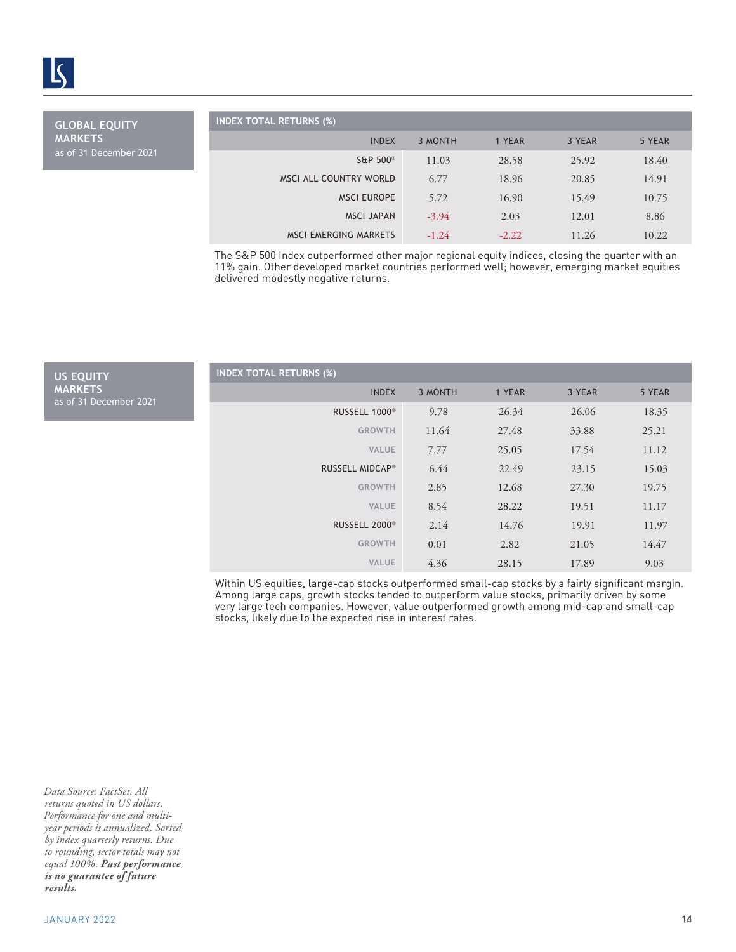

**GLOBAL EQUITY MARKETS** as of 31 December 2021

**US EQUITY MARKETS**

as of 31 December 2021

| <b>NDEX TOTAL RETURNS (%)</b> |         |         |        |        |
|-------------------------------|---------|---------|--------|--------|
| <b>INDEX</b>                  | 3 MONTH | 1 YEAR  | 3 YEAR | 5 YEAR |
| S&P 500 <sup>®</sup>          | 11.03   | 28.58   | 25.92  | 18.40  |
| MSCI ALL COUNTRY WORLD        | 6.77    | 18.96   | 20.85  | 14.91  |
| <b>MSCI EUROPE</b>            | 5.72    | 16.90   | 15.49  | 10.75  |
| <b>MSCI JAPAN</b>             | $-3.94$ | 2.03    | 12.01  | 8.86   |
| <b>MSCI EMERGING MARKETS</b>  | $-1.24$ | $-2.22$ | 11.26  | 10.22  |

| <b>INDEX TOTAL RETURNS (%)</b>                                                                                                                                                                                                                                                                                                                               |         |         |        |        |
|--------------------------------------------------------------------------------------------------------------------------------------------------------------------------------------------------------------------------------------------------------------------------------------------------------------------------------------------------------------|---------|---------|--------|--------|
| <b>INDEX</b>                                                                                                                                                                                                                                                                                                                                                 | 3 MONTH | 1 YEAR  | 3 YEAR | 5 YEAR |
| S&P 500 <sup>®</sup>                                                                                                                                                                                                                                                                                                                                         | 11.03   | 28.58   | 25.92  | 18.40  |
| MSCI ALL COUNTRY WORLD                                                                                                                                                                                                                                                                                                                                       | 6.77    | 18.96   | 20.85  | 14.91  |
| <b>MSCI EUROPE</b>                                                                                                                                                                                                                                                                                                                                           | 5.72    | 16.90   | 15.49  | 10.75  |
| <b>MSCI JAPAN</b>                                                                                                                                                                                                                                                                                                                                            | $-3.94$ | 2.03    | 12.01  | 8.86   |
| <b>MSCI EMERGING MARKETS</b>                                                                                                                                                                                                                                                                                                                                 | $-1.24$ | $-2.22$ | 11.26  | 10.22  |
| The S&P 500 Index outperformed other major regional equity indices, closing the quarter with an<br>11% gain. Other developed market countries performed well, however, emerging market equities<br>delivered modestly negative returns.                                                                                                                      |         |         |        |        |
| <b>INDEX TOTAL RETURNS (%)</b>                                                                                                                                                                                                                                                                                                                               |         |         |        |        |
| <b>INDEX</b>                                                                                                                                                                                                                                                                                                                                                 | 3 MONTH | 1 YEAR  | 3 YEAR | 5 YEAR |
| RUSSELL 1000 <sup>®</sup>                                                                                                                                                                                                                                                                                                                                    | 9.78    | 26.34   | 26.06  | 18.35  |
| <b>GROWTH</b>                                                                                                                                                                                                                                                                                                                                                | 11.64   | 27.48   | 33.88  | 25.21  |
| <b>VALUE</b>                                                                                                                                                                                                                                                                                                                                                 | 7.77    | 25.05   | 17.54  | 11.12  |
| RUSSELL MIDCAP®                                                                                                                                                                                                                                                                                                                                              | 6.44    | 22.49   | 23.15  | 15.03  |
| <b>GROWTH</b>                                                                                                                                                                                                                                                                                                                                                | 2.85    | 12.68   | 27.30  | 19.75  |
| VALUE                                                                                                                                                                                                                                                                                                                                                        | 8.54    | 28.22   | 19.51  | 11.17  |
| RUSSELL 2000 <sup>®</sup>                                                                                                                                                                                                                                                                                                                                    | 2.14    | 14.76   | 19.91  | 11.97  |
| <b>GROWTH</b>                                                                                                                                                                                                                                                                                                                                                | 0.01    | 2.82    | 21.05  | 14.47  |
| VALUE                                                                                                                                                                                                                                                                                                                                                        | 4.36    | 28.15   | 17.89  | 9.03   |
| Within US equities, large-cap stocks outperformed small-cap stocks by a fairly significant margin.<br>Among large caps, growth stocks tended to outperform value stocks, primarily driven by some<br>very large tech companies. However, value outperformed growth among mid-cap and small-cap<br>stocks, likely due to the expected rise in interest rates. |         |         |        |        |
|                                                                                                                                                                                                                                                                                                                                                              |         |         |        | 14     |

*Data Source: FactSet. All returns quoted in US dollars. Performance for one and multiyear periods is annualized. Sorted by index quarterly returns. Due to rounding, sector totals may not equal 100%. Past performance is no guarantee of future results.*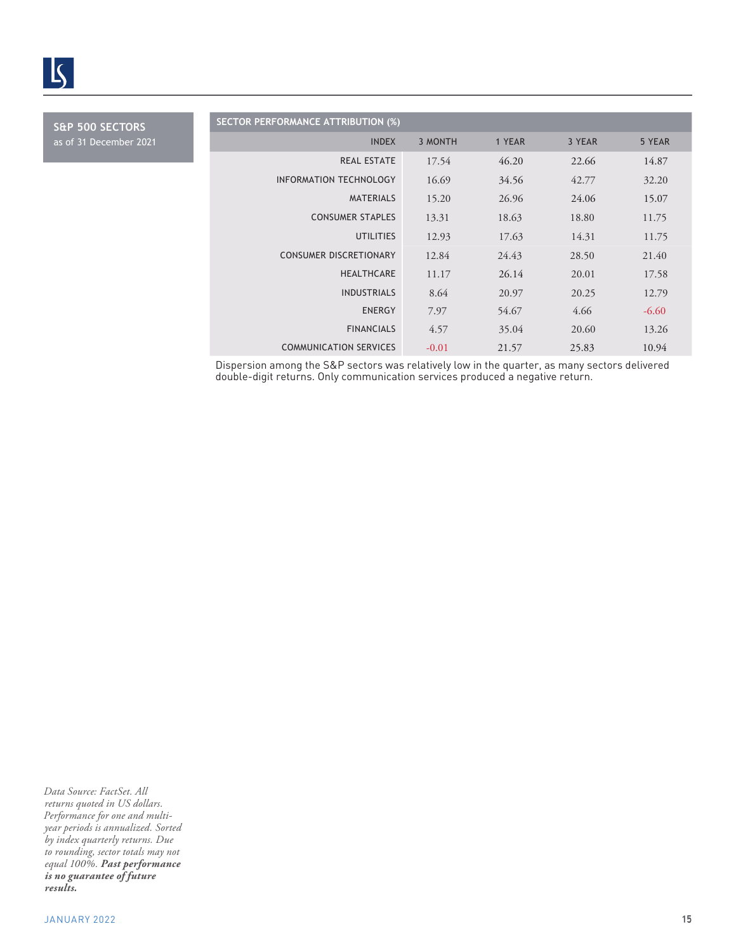

**S&P 500 SECTORS** as of 31 December 2021

| <b>SECTOR PERFORMANCE ATTRIBUTION (%)</b> |         |        |        |         |
|-------------------------------------------|---------|--------|--------|---------|
| <b>INDEX</b>                              | 3 MONTH | 1 YEAR | 3 YEAR | 5 YEAR  |
| <b>REAL ESTATE</b>                        | 17.54   | 46.20  | 22.66  | 14.87   |
| INFORMATION TECHNOLOGY                    | 16.69   | 34.56  | 42.77  | 32.20   |
| <b>MATERIALS</b>                          | 15.20   | 26.96  | 24.06  | 15.07   |
| <b>CONSUMER STAPLES</b>                   | 13.31   | 18.63  | 18.80  | 11.75   |
| <b>UTILITIES</b>                          | 12.93   | 17.63  | 14.31  | 11.75   |
| <b>CONSUMER DISCRETIONARY</b>             | 12.84   | 24.43  | 28.50  | 21.40   |
| <b>HEALTHCARE</b>                         | 11.17   | 26.14  | 20.01  | 17.58   |
| <b>INDUSTRIALS</b>                        | 8.64    | 20.97  | 20.25  | 12.79   |
| <b>ENERGY</b>                             | 7.97    | 54.67  | 4.66   | $-6.60$ |
| <b>FINANCIALS</b>                         | 4.57    | 35.04  | 20.60  | 13.26   |
| <b>COMMUNICATION SERVICES</b>             | $-0.01$ | 21.57  | 25.83  | 10.94   |

Dispersion among the S&P sectors was relatively low in the quarter, as many sectors delivered double-digit returns. Only communication services produced a negative return.

*Data Source: FactSet. All returns quoted in US dollars. Performance for one and multiyear periods is annualized. Sorted by index quarterly returns. Due to rounding, sector totals may not equal 100%. Past performance is no guarantee of future results.*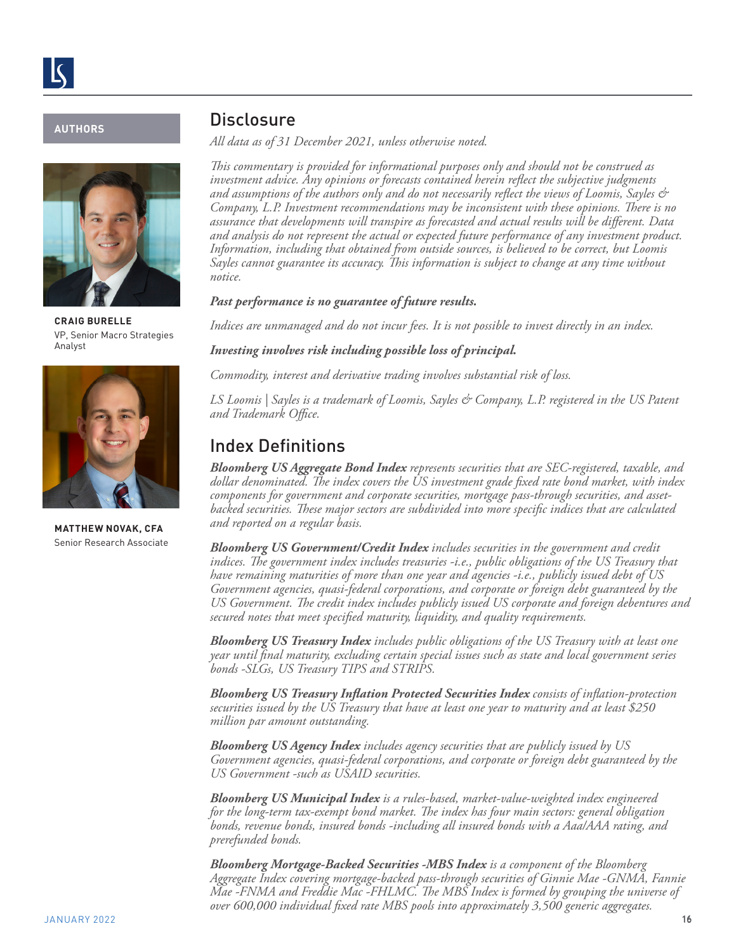#### **AUTHORS**



**CRAIG BURELLE**  VP, Senior Macro Strategies Analyst



**MATTHEW NOVAK, CFA**  Senior Research Associate

### **Disclosure**

*All data as of 31 December 2021, unless otherwise noted.* 

*This commentary is provided for informational purposes only and should not be construed as investment advice. Any opinions or forecasts contained herein reflect the subjective judgments and assumptions of the authors only and do not necessarily reflect the views of Loomis, Sayles & Company, L.P. Investment recommendations may be inconsistent with these opinions. There is no assurance that developments will transpire as forecasted and actual results will be different. Data and analysis do not represent the actual or expected future performance of any investment product. Information, including that obtained from outside sources, is believed to be correct, but Loomis Sayles cannot guarantee its accuracy. This information is subject to change at any time without notice.*

#### *Past performance is no guarantee of future results.*

*Indices are unmanaged and do not incur fees. It is not possible to invest directly in an index.*

*Investing involves risk including possible loss of principal.* 

*Commodity, interest and derivative trading involves substantial risk of loss.*

*LS Loomis | Sayles is a trademark of Loomis, Sayles & Company, L.P. registered in the US Patent and Trademark Office.*

### Index Definitions

*Bloomberg US Aggregate Bond Index represents securities that are SEC-registered, taxable, and dollar denominated. The index covers the US investment grade fixed rate bond market, with index components for government and corporate securities, mortgage pass-through securities, and assetbacked securities. These major sectors are subdivided into more specific indices that are calculated and reported on a regular basis.*

*Bloomberg US Government/Credit Index includes securities in the government and credit indices. The government index includes treasuries -i.e., public obligations of the US Treasury that have remaining maturities of more than one year and agencies -i.e., publicly issued debt of US Government agencies, quasi-federal corporations, and corporate or foreign debt guaranteed by the US Government. The credit index includes publicly issued US corporate and foreign debentures and secured notes that meet specified maturity, liquidity, and quality requirements.*

*Bloomberg US Treasury Index includes public obligations of the US Treasury with at least one year until final maturity, excluding certain special issues such as state and local government series bonds -SLGs, US Treasury TIPS and STRIPS.* 

*Bloomberg US Treasury Inflation Protected Securities Index consists of inflation-protection securities issued by the US Treasury that have at least one year to maturity and at least \$250 million par amount outstanding.*

*Bloomberg US Agency Index includes agency securities that are publicly issued by US Government agencies, quasi-federal corporations, and corporate or foreign debt guaranteed by the US Government -such as USAID securities.* 

*Bloomberg US Municipal Index is a rules-based, market-value-weighted index engineered for the long-term tax-exempt bond market. The index has four main sectors: general obligation bonds, revenue bonds, insured bonds -including all insured bonds with a Aaa/AAA rating, and prerefunded bonds.*

*Bloomberg Mortgage-Backed Securities -MBS Index is a component of the Bloomberg Aggregate Index covering mortgage-backed pass-through securities of Ginnie Mae -GNMA, Fannie Mae -FNMA and Freddie Mac -FHLMC. The MBS Index is formed by grouping the universe of over 600,000 individual fixed rate MBS pools into approximately 3,500 generic aggregates.*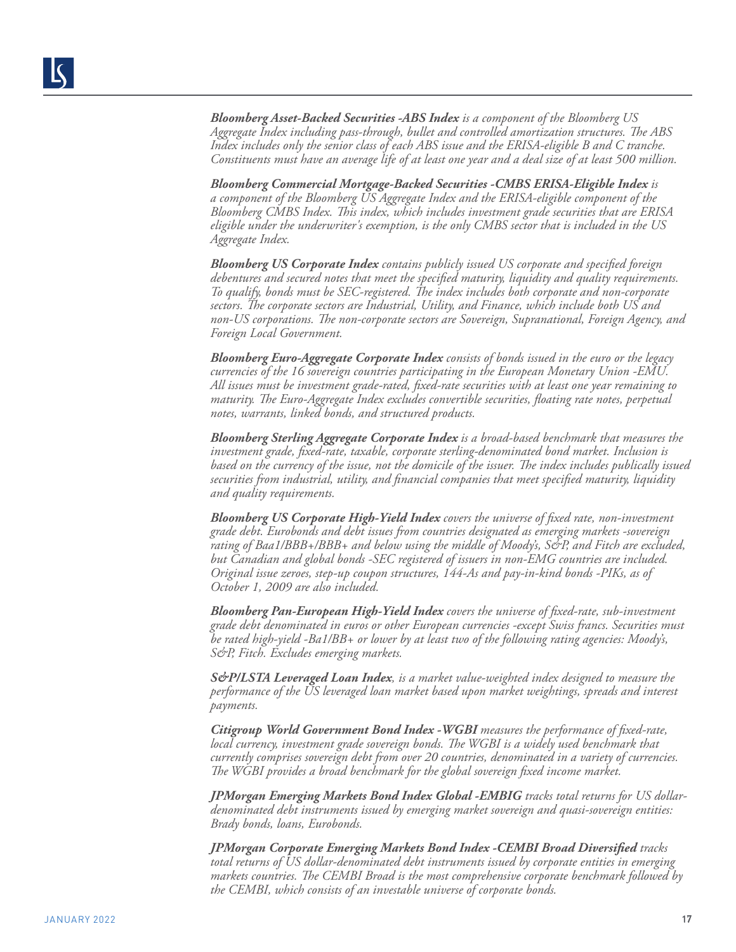*Bloomberg Asset-Backed Securities -ABS Index is a component of the Bloomberg US Aggregate Index including pass-through, bullet and controlled amortization structures. The ABS Index includes only the senior class of each ABS issue and the ERISA-eligible B and C tranche. Constituents must have an average life of at least one year and a deal size of at least 500 million.*

*Bloomberg Commercial Mortgage-Backed Securities -CMBS ERISA-Eligible Index is a component of the Bloomberg US Aggregate Index and the ERISA-eligible component of the Bloomberg CMBS Index. This index, which includes investment grade securities that are ERISA eligible under the underwriter's exemption, is the only CMBS sector that is included in the US Aggregate Index.*

*Bloomberg US Corporate Index contains publicly issued US corporate and specified foreign debentures and secured notes that meet the specified maturity, liquidity and quality requirements. To qualify, bonds must be SEC-registered. The index includes both corporate and non-corporate sectors. The corporate sectors are Industrial, Utility, and Finance, which include both US and non-US corporations. The non-corporate sectors are Sovereign, Supranational, Foreign Agency, and Foreign Local Government.*

*Bloomberg Euro-Aggregate Corporate Index consists of bonds issued in the euro or the legacy currencies of the 16 sovereign countries participating in the European Monetary Union -EMU. All issues must be investment grade-rated, fixed-rate securities with at least one year remaining to maturity. The Euro-Aggregate Index excludes convertible securities, floating rate notes, perpetual notes, warrants, linked bonds, and structured products.*

*Bloomberg Sterling Aggregate Corporate Index is a broad-based benchmark that measures the investment grade, fixed-rate, taxable, corporate sterling-denominated bond market. Inclusion is based on the currency of the issue, not the domicile of the issuer. The index includes publically issued securities from industrial, utility, and financial companies that meet specified maturity, liquidity and quality requirements.*

*Bloomberg US Corporate High-Yield Index covers the universe of fixed rate, non-investment grade debt. Eurobonds and debt issues from countries designated as emerging markets -sovereign rating of Baa1/BBB+/BBB+ and below using the middle of Moody's, S&P, and Fitch are excluded, but Canadian and global bonds -SEC registered of issuers in non-EMG countries are included. Original issue zeroes, step-up coupon structures, 144-As and pay-in-kind bonds -PIKs, as of October 1, 2009 are also included.*

*Bloomberg Pan-European High-Yield Index covers the universe of fixed-rate, sub-investment grade debt denominated in euros or other European currencies -except Swiss francs. Securities must be rated high-yield -Ba1/BB+ or lower by at least two of the following rating agencies: Moody's, S&P, Fitch. Excludes emerging markets.*

*S&P/LSTA Leveraged Loan Index, is a market value-weighted index designed to measure the performance of the US leveraged loan market based upon market weightings, spreads and interest payments.*

*Citigroup World Government Bond Index -WGBI measures the performance of fixed-rate, local currency, investment grade sovereign bonds. The WGBI is a widely used benchmark that currently comprises sovereign debt from over 20 countries, denominated in a variety of currencies. The WGBI provides a broad benchmark for the global sovereign fixed income market.* 

*JPMorgan Emerging Markets Bond Index Global -EMBIG tracks total returns for US dollardenominated debt instruments issued by emerging market sovereign and quasi-sovereign entities: Brady bonds, loans, Eurobonds.* 

*JPMorgan Corporate Emerging Markets Bond Index -CEMBI Broad Diversified tracks total returns of US dollar-denominated debt instruments issued by corporate entities in emerging markets countries. The CEMBI Broad is the most comprehensive corporate benchmark followed by the CEMBI, which consists of an investable universe of corporate bonds.*